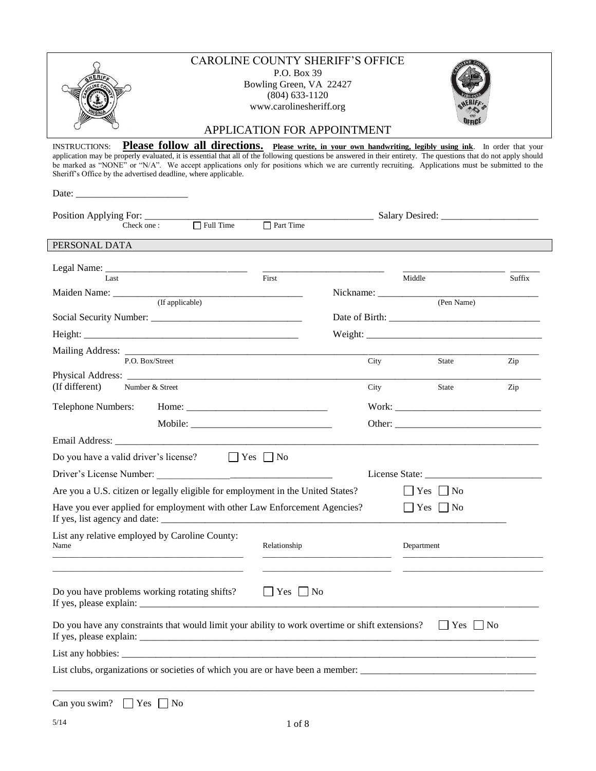| <b>INSTRUCTIONS:</b><br>Sheriff's Office by the advertised deadline, where applicable.<br>$\boxed{\phantom{1}}$ Part Time<br>$\Box$ Full Time<br>Check one:<br>PERSONAL DATA<br>First<br>Last<br>Middle<br>Suffix<br>(Pen Name)<br>P.O. Box/Street<br>City<br>State<br>Zip<br>(If different)<br>Number & Street<br>City<br>State<br>Zip<br>Telephone Numbers:<br>$\Box$ Yes $\Box$ No<br>Do you have a valid driver's license?<br>Are you a U.S. citizen or legally eligible for employment in the United States?<br>No<br><b>Yes</b><br>Have you ever applied for employment with other Law Enforcement Agencies?<br>Yes [<br>$\blacksquare$ No<br>List any relative employed by Caroline County:<br>Relationship<br>Name<br>Department<br>the control of the control of the control of the control of the control of<br>the contract of the contract of the contract of the contract of the contract of<br>Do you have problems working rotating shifts?<br>$\Box$ Yes $\Box$ No<br>Do you have any constraints that would limit your ability to work overtime or shift extensions?<br>$\Box$ Yes $\Box$ No | <b>CAROLINE COUNTY SHERIFF'S OFFICE</b><br>P.O. Box 39<br>Bowling Green, VA 22427<br>$(804)$ 633-1120<br>www.carolinesheriff.org<br>APPLICATION FOR APPOINTMENT                                                                                                                                                                                                                                                                           |  |  |  |  |  |
|---------------------------------------------------------------------------------------------------------------------------------------------------------------------------------------------------------------------------------------------------------------------------------------------------------------------------------------------------------------------------------------------------------------------------------------------------------------------------------------------------------------------------------------------------------------------------------------------------------------------------------------------------------------------------------------------------------------------------------------------------------------------------------------------------------------------------------------------------------------------------------------------------------------------------------------------------------------------------------------------------------------------------------------------------------------------------------------------------------------|-------------------------------------------------------------------------------------------------------------------------------------------------------------------------------------------------------------------------------------------------------------------------------------------------------------------------------------------------------------------------------------------------------------------------------------------|--|--|--|--|--|
|                                                                                                                                                                                                                                                                                                                                                                                                                                                                                                                                                                                                                                                                                                                                                                                                                                                                                                                                                                                                                                                                                                               | <b>Please follow all directions.</b> Please write, in your own handwriting, legibly using ink. In order that your<br>application may be properly evaluated, it is essential that all of the following questions be answered in their entirety. The questions that do not apply should<br>be marked as "NONE" or "N/A". We accept applications only for positions which we are currently recruiting. Applications must be submitted to the |  |  |  |  |  |
|                                                                                                                                                                                                                                                                                                                                                                                                                                                                                                                                                                                                                                                                                                                                                                                                                                                                                                                                                                                                                                                                                                               |                                                                                                                                                                                                                                                                                                                                                                                                                                           |  |  |  |  |  |
|                                                                                                                                                                                                                                                                                                                                                                                                                                                                                                                                                                                                                                                                                                                                                                                                                                                                                                                                                                                                                                                                                                               |                                                                                                                                                                                                                                                                                                                                                                                                                                           |  |  |  |  |  |
|                                                                                                                                                                                                                                                                                                                                                                                                                                                                                                                                                                                                                                                                                                                                                                                                                                                                                                                                                                                                                                                                                                               |                                                                                                                                                                                                                                                                                                                                                                                                                                           |  |  |  |  |  |
|                                                                                                                                                                                                                                                                                                                                                                                                                                                                                                                                                                                                                                                                                                                                                                                                                                                                                                                                                                                                                                                                                                               |                                                                                                                                                                                                                                                                                                                                                                                                                                           |  |  |  |  |  |
|                                                                                                                                                                                                                                                                                                                                                                                                                                                                                                                                                                                                                                                                                                                                                                                                                                                                                                                                                                                                                                                                                                               |                                                                                                                                                                                                                                                                                                                                                                                                                                           |  |  |  |  |  |
|                                                                                                                                                                                                                                                                                                                                                                                                                                                                                                                                                                                                                                                                                                                                                                                                                                                                                                                                                                                                                                                                                                               |                                                                                                                                                                                                                                                                                                                                                                                                                                           |  |  |  |  |  |
|                                                                                                                                                                                                                                                                                                                                                                                                                                                                                                                                                                                                                                                                                                                                                                                                                                                                                                                                                                                                                                                                                                               |                                                                                                                                                                                                                                                                                                                                                                                                                                           |  |  |  |  |  |
|                                                                                                                                                                                                                                                                                                                                                                                                                                                                                                                                                                                                                                                                                                                                                                                                                                                                                                                                                                                                                                                                                                               |                                                                                                                                                                                                                                                                                                                                                                                                                                           |  |  |  |  |  |
|                                                                                                                                                                                                                                                                                                                                                                                                                                                                                                                                                                                                                                                                                                                                                                                                                                                                                                                                                                                                                                                                                                               |                                                                                                                                                                                                                                                                                                                                                                                                                                           |  |  |  |  |  |
|                                                                                                                                                                                                                                                                                                                                                                                                                                                                                                                                                                                                                                                                                                                                                                                                                                                                                                                                                                                                                                                                                                               |                                                                                                                                                                                                                                                                                                                                                                                                                                           |  |  |  |  |  |
|                                                                                                                                                                                                                                                                                                                                                                                                                                                                                                                                                                                                                                                                                                                                                                                                                                                                                                                                                                                                                                                                                                               |                                                                                                                                                                                                                                                                                                                                                                                                                                           |  |  |  |  |  |
|                                                                                                                                                                                                                                                                                                                                                                                                                                                                                                                                                                                                                                                                                                                                                                                                                                                                                                                                                                                                                                                                                                               |                                                                                                                                                                                                                                                                                                                                                                                                                                           |  |  |  |  |  |
|                                                                                                                                                                                                                                                                                                                                                                                                                                                                                                                                                                                                                                                                                                                                                                                                                                                                                                                                                                                                                                                                                                               |                                                                                                                                                                                                                                                                                                                                                                                                                                           |  |  |  |  |  |
|                                                                                                                                                                                                                                                                                                                                                                                                                                                                                                                                                                                                                                                                                                                                                                                                                                                                                                                                                                                                                                                                                                               |                                                                                                                                                                                                                                                                                                                                                                                                                                           |  |  |  |  |  |
|                                                                                                                                                                                                                                                                                                                                                                                                                                                                                                                                                                                                                                                                                                                                                                                                                                                                                                                                                                                                                                                                                                               |                                                                                                                                                                                                                                                                                                                                                                                                                                           |  |  |  |  |  |
|                                                                                                                                                                                                                                                                                                                                                                                                                                                                                                                                                                                                                                                                                                                                                                                                                                                                                                                                                                                                                                                                                                               |                                                                                                                                                                                                                                                                                                                                                                                                                                           |  |  |  |  |  |
|                                                                                                                                                                                                                                                                                                                                                                                                                                                                                                                                                                                                                                                                                                                                                                                                                                                                                                                                                                                                                                                                                                               |                                                                                                                                                                                                                                                                                                                                                                                                                                           |  |  |  |  |  |
|                                                                                                                                                                                                                                                                                                                                                                                                                                                                                                                                                                                                                                                                                                                                                                                                                                                                                                                                                                                                                                                                                                               |                                                                                                                                                                                                                                                                                                                                                                                                                                           |  |  |  |  |  |
|                                                                                                                                                                                                                                                                                                                                                                                                                                                                                                                                                                                                                                                                                                                                                                                                                                                                                                                                                                                                                                                                                                               |                                                                                                                                                                                                                                                                                                                                                                                                                                           |  |  |  |  |  |
|                                                                                                                                                                                                                                                                                                                                                                                                                                                                                                                                                                                                                                                                                                                                                                                                                                                                                                                                                                                                                                                                                                               |                                                                                                                                                                                                                                                                                                                                                                                                                                           |  |  |  |  |  |
|                                                                                                                                                                                                                                                                                                                                                                                                                                                                                                                                                                                                                                                                                                                                                                                                                                                                                                                                                                                                                                                                                                               |                                                                                                                                                                                                                                                                                                                                                                                                                                           |  |  |  |  |  |
|                                                                                                                                                                                                                                                                                                                                                                                                                                                                                                                                                                                                                                                                                                                                                                                                                                                                                                                                                                                                                                                                                                               |                                                                                                                                                                                                                                                                                                                                                                                                                                           |  |  |  |  |  |
|                                                                                                                                                                                                                                                                                                                                                                                                                                                                                                                                                                                                                                                                                                                                                                                                                                                                                                                                                                                                                                                                                                               |                                                                                                                                                                                                                                                                                                                                                                                                                                           |  |  |  |  |  |
|                                                                                                                                                                                                                                                                                                                                                                                                                                                                                                                                                                                                                                                                                                                                                                                                                                                                                                                                                                                                                                                                                                               |                                                                                                                                                                                                                                                                                                                                                                                                                                           |  |  |  |  |  |

Can you swim?  $\Box$  Yes  $\Box$  No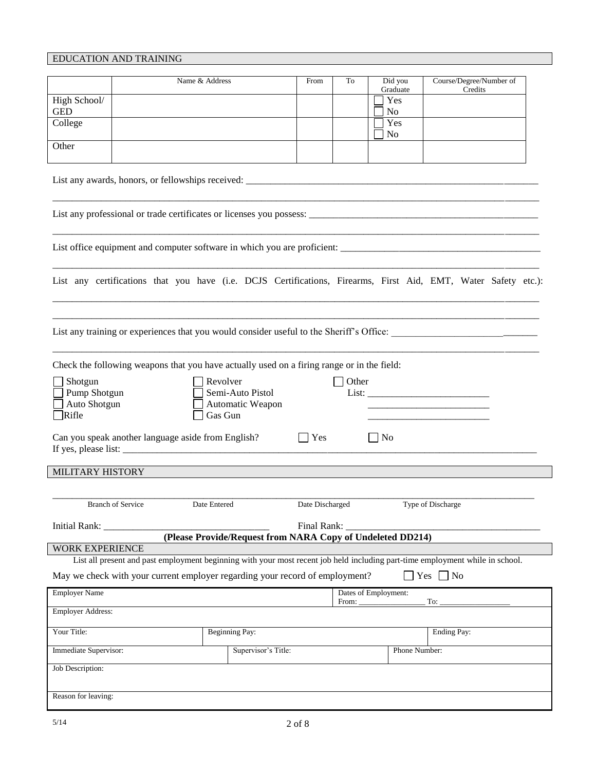# EDUCATION AND TRAINING

|                            |                                                    | Name & Address                                                                             | From            | To    | Did you               | Course/Degree/Number of                                                                                                       |
|----------------------------|----------------------------------------------------|--------------------------------------------------------------------------------------------|-----------------|-------|-----------------------|-------------------------------------------------------------------------------------------------------------------------------|
|                            |                                                    |                                                                                            |                 |       | Graduate              | Credits                                                                                                                       |
| High School/<br><b>GED</b> |                                                    |                                                                                            |                 |       | Yes<br>N <sub>0</sub> |                                                                                                                               |
| College                    |                                                    |                                                                                            |                 |       | Yes                   |                                                                                                                               |
|                            |                                                    |                                                                                            |                 |       | No                    |                                                                                                                               |
| Other                      |                                                    |                                                                                            |                 |       |                       |                                                                                                                               |
|                            |                                                    |                                                                                            |                 |       |                       |                                                                                                                               |
|                            |                                                    |                                                                                            |                 |       |                       |                                                                                                                               |
|                            |                                                    |                                                                                            |                 |       |                       |                                                                                                                               |
|                            |                                                    |                                                                                            |                 |       |                       | List any certifications that you have (i.e. DCJS Certifications, Firearms, First Aid, EMT, Water Safety etc.):                |
|                            |                                                    |                                                                                            |                 |       |                       | List any training or experiences that you would consider useful to the Sheriff's Office:                                      |
|                            |                                                    | Check the following weapons that you have actually used on a firing range or in the field: |                 |       |                       |                                                                                                                               |
| Shotgun                    |                                                    | Revolver                                                                                   |                 | Other |                       |                                                                                                                               |
| Pump Shotgun               |                                                    | Semi-Auto Pistol                                                                           |                 |       |                       |                                                                                                                               |
| Auto Shotgun               |                                                    | Automatic Weapon                                                                           |                 |       |                       |                                                                                                                               |
| Rifle                      |                                                    | Gas Gun                                                                                    |                 |       |                       |                                                                                                                               |
|                            | Can you speak another language aside from English? |                                                                                            | Yes             |       | $\Box$ No             |                                                                                                                               |
| MILITARY HISTORY           |                                                    |                                                                                            |                 |       |                       |                                                                                                                               |
|                            |                                                    |                                                                                            |                 |       |                       |                                                                                                                               |
|                            |                                                    | Date Entered                                                                               | Date Discharged |       |                       |                                                                                                                               |
|                            | <b>Branch of Service</b>                           |                                                                                            |                 |       |                       | Type of Discharge                                                                                                             |
| Initial Rank: _            |                                                    |                                                                                            | Final Rank:     |       |                       |                                                                                                                               |
|                            |                                                    | (Please Provide/Request from NARA Copy of Undeleted DD214)                                 |                 |       |                       |                                                                                                                               |
| <b>WORK EXPERIENCE</b>     |                                                    |                                                                                            |                 |       |                       | List all present and past employment beginning with your most recent job held including part-time employment while in school. |
|                            |                                                    | May we check with your current employer regarding your record of employment?               |                 |       |                       | Yes $\Box$ No                                                                                                                 |
|                            |                                                    |                                                                                            |                 |       |                       |                                                                                                                               |
| <b>Employer Name</b>       |                                                    |                                                                                            |                 | From: | Dates of Employment:  | To:                                                                                                                           |
| <b>Employer Address:</b>   |                                                    |                                                                                            |                 |       |                       |                                                                                                                               |
| Your Title:                |                                                    | <b>Beginning Pay:</b>                                                                      |                 |       |                       | <b>Ending Pay:</b>                                                                                                            |
| Immediate Supervisor:      |                                                    | Supervisor's Title:                                                                        |                 |       | Phone Number:         |                                                                                                                               |
| Job Description:           |                                                    |                                                                                            |                 |       |                       |                                                                                                                               |
|                            |                                                    |                                                                                            |                 |       |                       |                                                                                                                               |
| Reason for leaving:        |                                                    |                                                                                            |                 |       |                       |                                                                                                                               |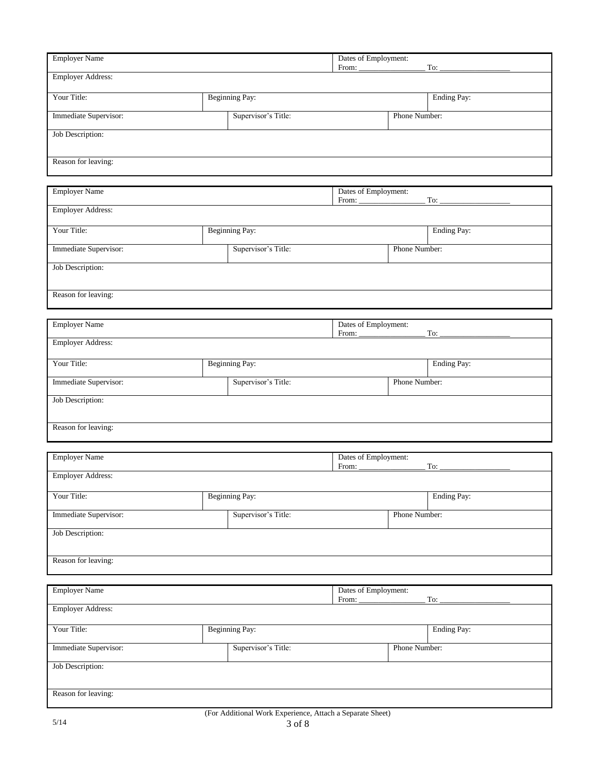|                          |                       | Dates of Employment:                 |               |                    |
|--------------------------|-----------------------|--------------------------------------|---------------|--------------------|
| <b>Employer Name</b>     |                       | From:                                |               | To: $\overline{a}$ |
| <b>Employer Address:</b> |                       |                                      |               |                    |
| Your Title:              | <b>Beginning Pay:</b> |                                      |               | Ending Pay:        |
| Immediate Supervisor:    | Supervisor's Title:   |                                      | Phone Number: |                    |
| Job Description:         |                       |                                      |               |                    |
| Reason for leaving:      |                       |                                      |               |                    |
|                          |                       |                                      |               |                    |
| <b>Employer Name</b>     |                       | Dates of Employment:<br>From:        |               | To:                |
| <b>Employer Address:</b> |                       |                                      |               |                    |
| Your Title:              | <b>Beginning Pay:</b> |                                      |               | Ending Pay:        |
| Immediate Supervisor:    | Supervisor's Title:   |                                      | Phone Number: |                    |
| Job Description:         |                       |                                      |               |                    |
| Reason for leaving:      |                       |                                      |               |                    |
|                          |                       |                                      |               |                    |
| <b>Employer Name</b>     |                       | Dates of Employment:<br>From:<br>To: |               |                    |
| <b>Employer Address:</b> |                       |                                      |               |                    |
| Your Title:              | <b>Beginning Pay:</b> |                                      |               | Ending Pay:        |
| Immediate Supervisor:    | Supervisor's Title:   |                                      | Phone Number: |                    |
| Job Description:         |                       |                                      |               |                    |
| Reason for leaving:      |                       |                                      |               |                    |
| <b>Employer Name</b>     |                       | Dates of Employment:                 |               |                    |
|                          |                       | From:                                |               | To:                |
| <b>Employer Address:</b> |                       |                                      |               |                    |
| Your Title:              | Beginning Pay:        |                                      |               | Ending Pay:        |
| Immediate Supervisor:    | Supervisor's Title:   |                                      | Phone Number: |                    |
| Job Description:         |                       |                                      |               |                    |
| Reason for leaving:      |                       |                                      |               |                    |
| <b>Employer Name</b>     |                       | Dates of Employment:<br>From:        |               | To:                |
| <b>Employer Address:</b> |                       |                                      |               |                    |
| Your Title:              | <b>Beginning Pay:</b> |                                      |               | Ending Pay:        |
| Immediate Supervisor:    | Supervisor's Title:   |                                      | Phone Number: |                    |
| <b>Job Description:</b>  |                       |                                      |               |                    |
| Reason for leaving:      |                       |                                      |               |                    |
|                          |                       |                                      |               |                    |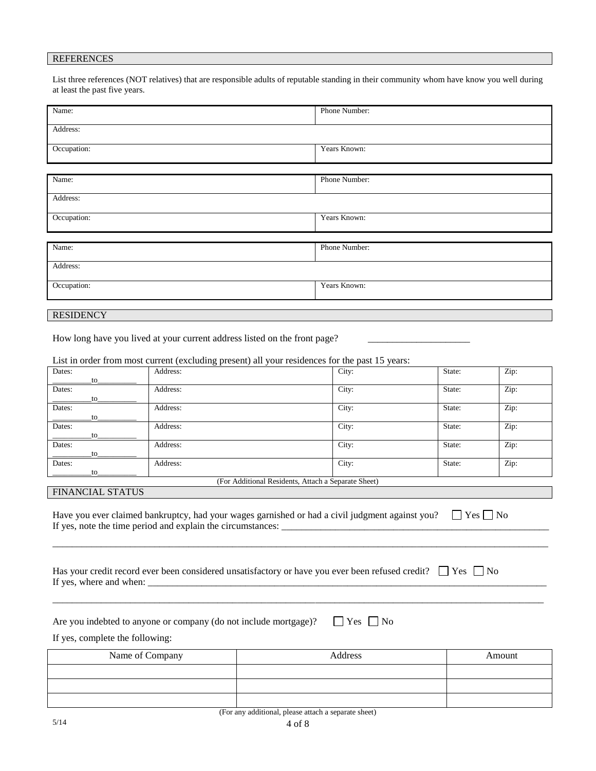#### REFERENCES

List three references (NOT relatives) that are responsible adults of reputable standing in their community whom have know you well during at least the past five years.

| Name:       | Phone Number: |  |
|-------------|---------------|--|
| Address:    |               |  |
| Occupation: | Years Known:  |  |
|             |               |  |
| Name:       | Phone Number: |  |
| Address:    |               |  |
| Occupation: | Years Known:  |  |
|             |               |  |
| Name:       | Phone Number: |  |
| Address:    |               |  |
| Occupation: | Years Known:  |  |
|             |               |  |

**RESIDENCY** 

How long have you lived at your current address listed on the front page?

List in order from most current (excluding present) all your residences for the past 15 years:

| Dates: | Address:                                            | City: | State: | Zip: |
|--------|-----------------------------------------------------|-------|--------|------|
| to     |                                                     |       |        |      |
| Dates: | Address:                                            | City: | State: | Zip: |
| to     |                                                     |       |        |      |
| Dates: | Address:                                            | City: | State: | Zip: |
| to     |                                                     |       |        |      |
| Dates: | Address:                                            | City: | State: | Zip: |
| to     |                                                     |       |        |      |
| Dates: | Address:                                            | City: | State: | Zip: |
| to     |                                                     |       |        |      |
| Dates: | Address:                                            | City: | State: | Zip: |
| to     |                                                     |       |        |      |
|        | (For Additional Residents, Attach a Separate Sheet) |       |        |      |

#### FINANCIAL STATUS

Have you ever claimed bankruptcy, had your wages garnished or had a civil judgment against you?  $\Box$  Yes  $\Box$  No If yes, note the time period and explain the circumstances:

\_\_\_\_\_\_\_\_\_\_\_\_\_\_\_\_\_\_\_\_\_\_\_\_\_\_\_\_\_\_\_\_\_\_\_\_\_\_\_\_\_\_\_\_\_\_\_\_\_\_\_\_\_\_\_\_\_\_\_\_\_\_\_\_\_\_\_\_\_\_\_\_\_\_\_\_\_\_\_\_\_\_\_\_\_\_\_\_\_\_\_\_\_\_\_\_\_\_\_\_\_\_

\_\_\_\_\_\_\_\_\_\_\_\_\_\_\_\_\_\_\_\_\_\_\_\_\_\_\_\_\_\_\_\_\_\_\_\_\_\_\_\_\_\_\_\_\_\_\_\_\_\_\_\_\_\_\_\_\_\_\_\_\_\_\_\_\_\_\_\_\_\_\_\_\_\_\_\_\_\_\_\_\_\_\_\_\_\_\_\_\_\_\_\_\_\_\_\_\_\_\_\_\_

| Has your credit record ever been considered unsatisfactory or have you ever been refused credit? $\Box$ Yes $\Box$ No |  |
|-----------------------------------------------------------------------------------------------------------------------|--|
| If yes, where and when:                                                                                               |  |

|  | Are you indebted to anyone or company (do not include mortgage)? |  | $\Box$ Yes $\Box$ No |  |  |
|--|------------------------------------------------------------------|--|----------------------|--|--|
|  |                                                                  |  |                      |  |  |

If yes, complete the following:

| Name of Company                                                    | Address | Amount |  |  |
|--------------------------------------------------------------------|---------|--------|--|--|
|                                                                    |         |        |  |  |
|                                                                    |         |        |  |  |
|                                                                    |         |        |  |  |
| $(T_{\alpha\alpha}$ any additional places ettech a conquete shoot) |         |        |  |  |

(For any additional, please attach a separate sheet)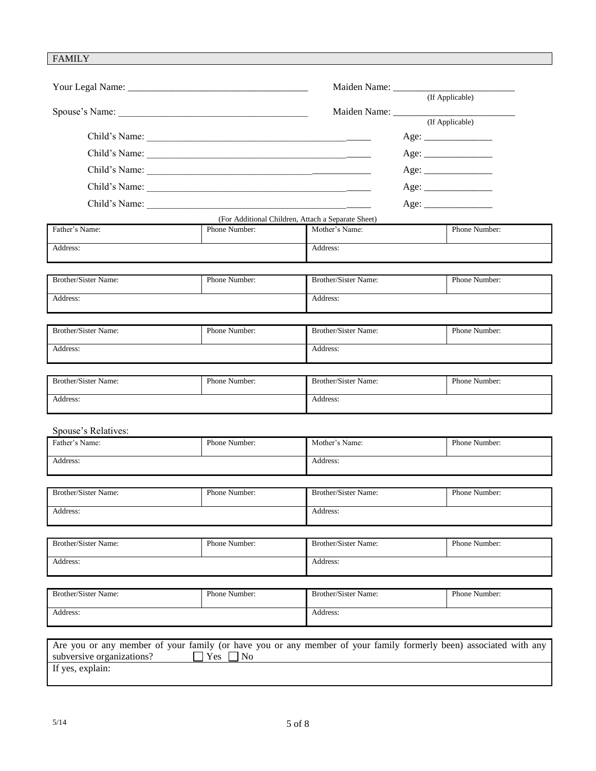# FAMILY

|                                                                                                                                                |                     | Maiden Name: (If Applicable)                       |               |
|------------------------------------------------------------------------------------------------------------------------------------------------|---------------------|----------------------------------------------------|---------------|
|                                                                                                                                                |                     |                                                    |               |
|                                                                                                                                                |                     | Maiden Name: <u>Capplicable</u>                    |               |
|                                                                                                                                                |                     |                                                    | Age:          |
|                                                                                                                                                |                     |                                                    | Age:          |
|                                                                                                                                                |                     |                                                    |               |
|                                                                                                                                                |                     |                                                    |               |
|                                                                                                                                                |                     |                                                    | Age:          |
|                                                                                                                                                |                     | (For Additional Children, Attach a Separate Sheet) |               |
| Father's Name:                                                                                                                                 | Phone Number:       | Mother's Name:                                     | Phone Number: |
| Address:                                                                                                                                       |                     | Address:                                           |               |
|                                                                                                                                                |                     |                                                    |               |
| Brother/Sister Name:                                                                                                                           | Phone Number:       | <b>Brother/Sister Name:</b>                        | Phone Number: |
| Address:                                                                                                                                       |                     | Address:                                           |               |
|                                                                                                                                                |                     |                                                    |               |
| Brother/Sister Name:                                                                                                                           | Phone Number:       | Brother/Sister Name:                               | Phone Number: |
| Address:                                                                                                                                       |                     | Address:                                           |               |
|                                                                                                                                                |                     |                                                    |               |
| Brother/Sister Name:                                                                                                                           | Phone Number:       | Brother/Sister Name:                               | Phone Number: |
| Address:                                                                                                                                       |                     | Address:                                           |               |
|                                                                                                                                                |                     |                                                    |               |
| Spouse's Relatives:<br>Father's Name:                                                                                                          | Phone Number:       | Mother's Name:                                     | Phone Number: |
|                                                                                                                                                |                     |                                                    |               |
| Address:                                                                                                                                       |                     | Address:                                           |               |
|                                                                                                                                                |                     |                                                    |               |
| Brother/Sister Name:                                                                                                                           | Phone Number:       | Brother/Sister Name:                               | Phone Number: |
| Address:                                                                                                                                       |                     | Address:                                           |               |
|                                                                                                                                                |                     |                                                    |               |
| Brother/Sister Name:                                                                                                                           | Phone Number:       | Brother/Sister Name:                               | Phone Number: |
| Address:                                                                                                                                       |                     | Address:                                           |               |
|                                                                                                                                                |                     |                                                    |               |
| Brother/Sister Name:                                                                                                                           | Phone Number:       | Brother/Sister Name:                               | Phone Number: |
| Address:                                                                                                                                       |                     | Address:                                           |               |
|                                                                                                                                                |                     |                                                    |               |
| Are you or any member of your family (or have you or any member of your family formerly been) associated with any<br>subversive organizations? | Yes<br>No<br>$\sim$ |                                                    |               |
| If yes, explain:                                                                                                                               |                     |                                                    |               |
|                                                                                                                                                |                     |                                                    |               |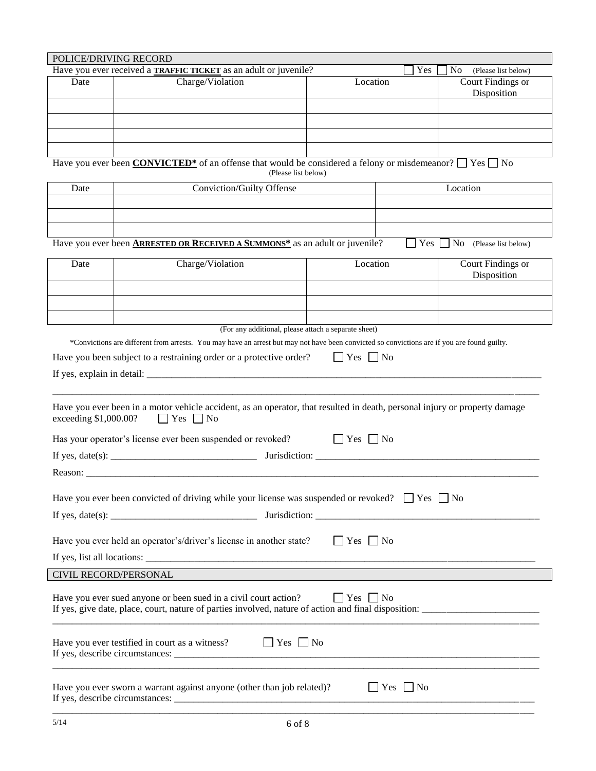| POLICE/DRIVING RECORD        |                                                                                                                                                                                                                                                                                                                                                                                             |                      |                      |                                       |
|------------------------------|---------------------------------------------------------------------------------------------------------------------------------------------------------------------------------------------------------------------------------------------------------------------------------------------------------------------------------------------------------------------------------------------|----------------------|----------------------|---------------------------------------|
|                              | Have you ever received a <b>TRAFFIC TICKET</b> as an adult or juvenile?                                                                                                                                                                                                                                                                                                                     |                      | Yes                  | N <sub>0</sub><br>(Please list below) |
| Date                         | Charge/Violation                                                                                                                                                                                                                                                                                                                                                                            | Location             |                      | Court Findings or<br>Disposition      |
|                              |                                                                                                                                                                                                                                                                                                                                                                                             |                      |                      |                                       |
|                              |                                                                                                                                                                                                                                                                                                                                                                                             |                      |                      |                                       |
|                              |                                                                                                                                                                                                                                                                                                                                                                                             |                      |                      |                                       |
|                              |                                                                                                                                                                                                                                                                                                                                                                                             |                      |                      |                                       |
|                              | Have you ever been <b>CONVICTED</b> <sup>*</sup> of an offense that would be considered a felony or misdemeanor? $\Box$ Yes $\Box$ No<br>(Please list below)                                                                                                                                                                                                                                |                      |                      |                                       |
| Date                         | Conviction/Guilty Offense                                                                                                                                                                                                                                                                                                                                                                   |                      |                      | Location                              |
|                              |                                                                                                                                                                                                                                                                                                                                                                                             |                      |                      |                                       |
|                              |                                                                                                                                                                                                                                                                                                                                                                                             |                      |                      |                                       |
|                              |                                                                                                                                                                                                                                                                                                                                                                                             |                      |                      |                                       |
|                              | Have you ever been <b>ARRESTED OR RECEIVED A SUMMONS*</b> as an adult or juvenile?                                                                                                                                                                                                                                                                                                          |                      | $ $ Yes              | No<br>(Please list below)             |
|                              |                                                                                                                                                                                                                                                                                                                                                                                             |                      |                      |                                       |
| Date                         | Charge/Violation                                                                                                                                                                                                                                                                                                                                                                            | Location             |                      | Court Findings or                     |
|                              |                                                                                                                                                                                                                                                                                                                                                                                             |                      |                      | Disposition                           |
|                              |                                                                                                                                                                                                                                                                                                                                                                                             |                      |                      |                                       |
|                              |                                                                                                                                                                                                                                                                                                                                                                                             |                      |                      |                                       |
|                              |                                                                                                                                                                                                                                                                                                                                                                                             |                      |                      |                                       |
|                              | (For any additional, please attach a separate sheet)                                                                                                                                                                                                                                                                                                                                        |                      |                      |                                       |
|                              | *Convictions are different from arrests. You may have an arrest but may not have been convicted so convictions are if you are found guilty.                                                                                                                                                                                                                                                 |                      |                      |                                       |
|                              | Have you been subject to a restraining order or a protective order?                                                                                                                                                                                                                                                                                                                         | $\Box$ Yes $\Box$ No |                      |                                       |
|                              |                                                                                                                                                                                                                                                                                                                                                                                             |                      |                      |                                       |
|                              |                                                                                                                                                                                                                                                                                                                                                                                             |                      |                      |                                       |
| exceeding \$1,000.00?        | Have you ever been in a motor vehicle accident, as an operator, that resulted in death, personal injury or property damage<br>$\Box$ Yes $\Box$ No                                                                                                                                                                                                                                          |                      |                      |                                       |
|                              | Has your operator's license ever been suspended or revoked?                                                                                                                                                                                                                                                                                                                                 | $ $   Yes     No     |                      |                                       |
|                              |                                                                                                                                                                                                                                                                                                                                                                                             |                      |                      |                                       |
|                              |                                                                                                                                                                                                                                                                                                                                                                                             |                      |                      |                                       |
|                              |                                                                                                                                                                                                                                                                                                                                                                                             |                      |                      |                                       |
|                              | Have you ever been convicted of driving while your license was suspended or revoked? $\Box$ Yes $\Box$ No                                                                                                                                                                                                                                                                                   |                      |                      |                                       |
|                              |                                                                                                                                                                                                                                                                                                                                                                                             |                      |                      |                                       |
|                              | Have you ever held an operator's/driver's license in another state?                                                                                                                                                                                                                                                                                                                         | $\Box$ Yes $\Box$ No |                      |                                       |
|                              |                                                                                                                                                                                                                                                                                                                                                                                             |                      |                      |                                       |
|                              | If yes, list all locations: $\frac{1}{\sqrt{1-\frac{1}{2}}\sqrt{1-\frac{1}{2}}\sqrt{1-\frac{1}{2}}\sqrt{1-\frac{1}{2}}\sqrt{1-\frac{1}{2}}\sqrt{1-\frac{1}{2}}\sqrt{1-\frac{1}{2}}\sqrt{1-\frac{1}{2}}\sqrt{1-\frac{1}{2}}\sqrt{1-\frac{1}{2}}\sqrt{1-\frac{1}{2}}\sqrt{1-\frac{1}{2}}\sqrt{1-\frac{1}{2}}\sqrt{1-\frac{1}{2}}\sqrt{1-\frac{1}{2}}\sqrt{1-\frac{1}{2}}\sqrt{1-\frac{1}{2}}$ |                      |                      |                                       |
| <b>CIVIL RECORD/PERSONAL</b> |                                                                                                                                                                                                                                                                                                                                                                                             |                      |                      |                                       |
|                              | Have you ever sued anyone or been sued in a civil court action?                                                                                                                                                                                                                                                                                                                             | $\Box$ Yes $\Box$ No |                      |                                       |
|                              | If yes, give date, place, court, nature of parties involved, nature of action and final disposition:                                                                                                                                                                                                                                                                                        |                      |                      |                                       |
|                              | Have you ever testified in court as a witness? $\Box$ Yes $\Box$ No                                                                                                                                                                                                                                                                                                                         |                      |                      |                                       |
|                              | Have you ever sworn a warrant against anyone (other than job related)?                                                                                                                                                                                                                                                                                                                      |                      | $\Box$ Yes $\Box$ No |                                       |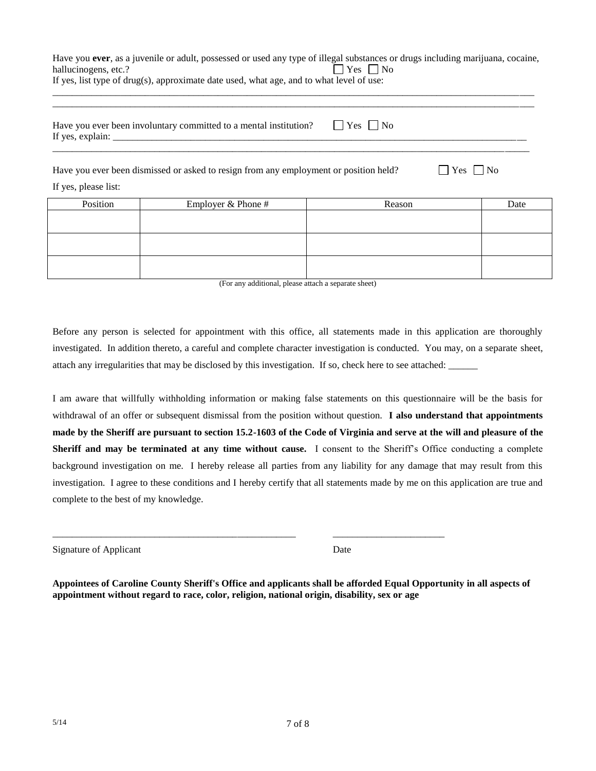|                                                                                          | Have you ever, as a juvenile or adult, possessed or used any type of illegal substances or drugs including marijuana, cocaine, |
|------------------------------------------------------------------------------------------|--------------------------------------------------------------------------------------------------------------------------------|
| hallucinogens, etc.?                                                                     | $\Box$ Yes $\Box$ No                                                                                                           |
| If yes, list type of drug(s), approximate date used, what age, and to what level of use: |                                                                                                                                |
|                                                                                          |                                                                                                                                |
|                                                                                          |                                                                                                                                |
|                                                                                          |                                                                                                                                |

| Have you ever been involuntary committed to a mental institution?<br>If yes, explain: $\frac{1}{\sqrt{1-\frac{1}{2}} \cdot \frac{1}{2}}$ | $ $ $ $ $Yes$ $ $ $ $ $No$ |          |
|------------------------------------------------------------------------------------------------------------------------------------------|----------------------------|----------|
| Have you ever been dismissed or asked to resign from any employment or position held?                                                    |                            | $Yes$ No |

If yes, please list:

| Position | Employer & Phone # | Reason | Date |
|----------|--------------------|--------|------|
|          |                    |        |      |
|          |                    |        |      |
|          |                    |        |      |
|          |                    |        |      |
|          |                    |        |      |
|          |                    |        |      |

(For any additional, please attach a separate sheet)

Before any person is selected for appointment with this office, all statements made in this application are thoroughly investigated. In addition thereto, a careful and complete character investigation is conducted. You may, on a separate sheet, attach any irregularities that may be disclosed by this investigation. If so, check here to see attached:

I am aware that willfully withholding information or making false statements on this questionnaire will be the basis for withdrawal of an offer or subsequent dismissal from the position without question. **I also understand that appointments made by the Sheriff are pursuant to section 15.2-1603 of the Code of Virginia and serve at the will and pleasure of the Sheriff and may be terminated at any time without cause.** I consent to the Sheriff's Office conducting a complete background investigation on me. I hereby release all parties from any liability for any damage that may result from this investigation. I agree to these conditions and I hereby certify that all statements made by me on this application are true and complete to the best of my knowledge.

Signature of Applicant Date

**Appointees of Caroline County Sheriff's Office and applicants shall be afforded Equal Opportunity in all aspects of appointment without regard to race, color, religion, national origin, disability, sex or age**

\_\_\_\_\_\_\_\_\_\_\_\_\_\_\_\_\_\_\_\_\_\_\_\_\_\_\_\_\_\_\_\_\_\_\_\_\_\_\_\_\_\_\_\_\_\_\_\_\_\_ \_\_\_\_\_\_\_\_\_\_\_\_\_\_\_\_\_\_\_\_\_\_\_